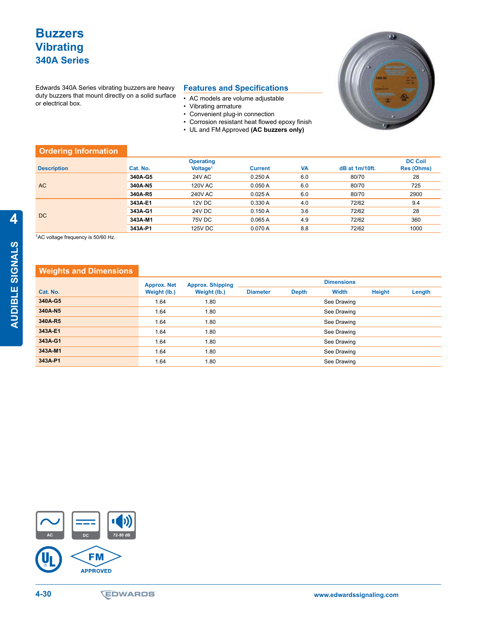## **Buzzers Vibrating 340A Series**

Edwards 340A Series vibrating buzzers are heavy duty buzzers that mount directly on a solid surface or electrical box.

## **Features and Specifications**

- • AC models are volume adjustable
- • Vibrating armature
- Convenient plug-in connection
- • Corrosion resistant heat flowed epoxy finish
- • UL and FM Approved **(AC buzzers only)**



| <b>Ordering Information</b> |          |                      |                |           |                |                   |
|-----------------------------|----------|----------------------|----------------|-----------|----------------|-------------------|
|                             |          | <b>Operating</b>     |                |           |                | <b>DC Coil</b>    |
| <b>Description</b>          | Cat. No. | Voltage <sup>1</sup> | <b>Current</b> | <b>VA</b> | dB at 1m/10ft. | <b>Res (Ohms)</b> |
| <b>AC</b>                   | 340A-G5  | <b>24V AC</b>        | 0.250A         | 6.0       | 80/70          | 28                |
|                             | 340A-N5  | <b>120V AC</b>       | 0.050A         | 6.0       | 80/70          | 725               |
|                             | 340A-R5  | <b>240V AC</b>       | 0.025A         | 6.0       | 80/70          | 2900              |
| DC                          | 343A-E1  | 12V DC               | 0.330 A        | 4.0       | 72/62          | 9.4               |
|                             | 343A-G1  | 24V DC               | 0.150A         | 3.6       | 72/62          | 28                |
|                             | 343A-M1  | 75V DC               | 0.065A         | 4.9       | 72/62          | 360               |
|                             | 343A-P1  | 125V DC              | 0.070A         | 8.8       | 72/62          | 1000              |

1AC voltage frequency is 50/60 Hz.

## **Weights and Dimensions**

|          | <b>Approx. Net</b> | <b>Approx. Shipping</b><br>Weight (lb.) | <b>Dimensions</b> |              |             |               |        |  |
|----------|--------------------|-----------------------------------------|-------------------|--------------|-------------|---------------|--------|--|
| Cat. No. | Weight (lb.)       |                                         | <b>Diameter</b>   | <b>Depth</b> | Width       | <b>Height</b> | Length |  |
| 340A-G5  | 1.64               | 1.80                                    |                   |              | See Drawing |               |        |  |
| 340A-N5  | 1.64               | 1.80                                    |                   |              | See Drawing |               |        |  |
| 340A-R5  | 1.64               | 1.80                                    |                   |              | See Drawing |               |        |  |
| 343A-E1  | 1.64               | 1.80                                    |                   |              | See Drawing |               |        |  |
| 343A-G1  | 1.64               | 1.80                                    |                   |              | See Drawing |               |        |  |
| 343A-M1  | 1.64               | 1.80                                    |                   |              | See Drawing |               |        |  |
| 343A-P1  | 1.64               | 1.80                                    |                   |              | See Drawing |               |        |  |



AUDIBLE SIGNALS **AUDIBLE SIGNALS**

**4**